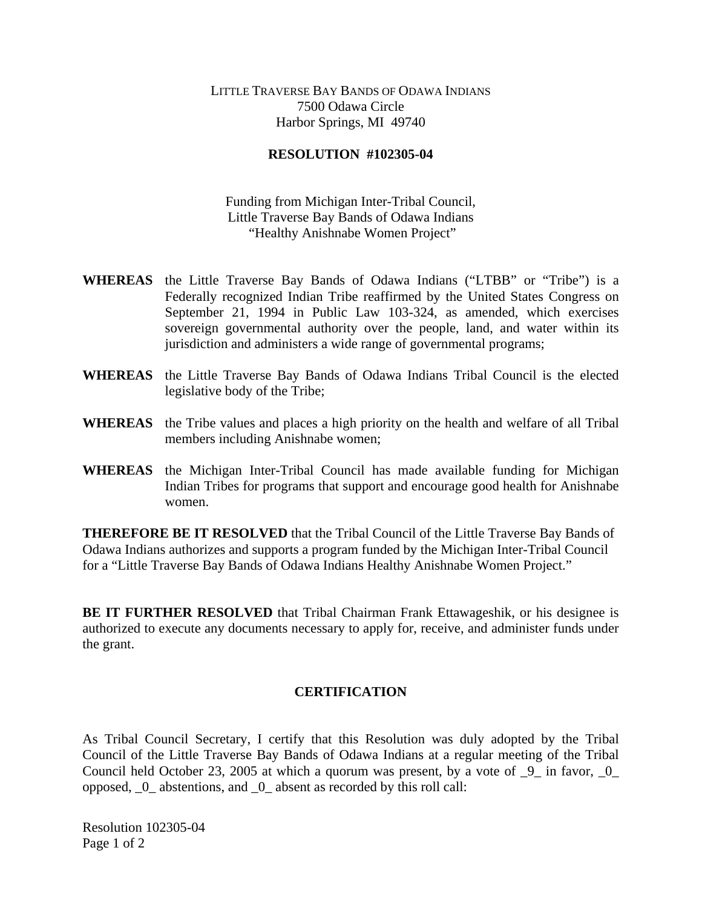## LITTLE TRAVERSE BAY BANDS OF ODAWA INDIANS 7500 Odawa Circle Harbor Springs, MI 49740

## **RESOLUTION #102305-04**

Funding from Michigan Inter-Tribal Council, Little Traverse Bay Bands of Odawa Indians "Healthy Anishnabe Women Project"

- **WHEREAS** the Little Traverse Bay Bands of Odawa Indians ("LTBB" or "Tribe") is a Federally recognized Indian Tribe reaffirmed by the United States Congress on September 21, 1994 in Public Law 103-324, as amended, which exercises sovereign governmental authority over the people, land, and water within its jurisdiction and administers a wide range of governmental programs;
- **WHEREAS** the Little Traverse Bay Bands of Odawa Indians Tribal Council is the elected legislative body of the Tribe;
- **WHEREAS** the Tribe values and places a high priority on the health and welfare of all Tribal members including Anishnabe women;
- **WHEREAS** the Michigan Inter-Tribal Council has made available funding for Michigan Indian Tribes for programs that support and encourage good health for Anishnabe women.

**THEREFORE BE IT RESOLVED** that the Tribal Council of the Little Traverse Bay Bands of Odawa Indians authorizes and supports a program funded by the Michigan Inter-Tribal Council for a "Little Traverse Bay Bands of Odawa Indians Healthy Anishnabe Women Project."

**BE IT FURTHER RESOLVED** that Tribal Chairman Frank Ettawageshik, or his designee is authorized to execute any documents necessary to apply for, receive, and administer funds under the grant.

## **CERTIFICATION**

As Tribal Council Secretary, I certify that this Resolution was duly adopted by the Tribal Council of the Little Traverse Bay Bands of Odawa Indians at a regular meeting of the Tribal Council held October 23, 2005 at which a quorum was present, by a vote of  $\overline{9}$  in favor,  $\overline{0}$ opposed, \_0\_ abstentions, and \_0\_ absent as recorded by this roll call:

Resolution 102305-04 Page 1 of 2